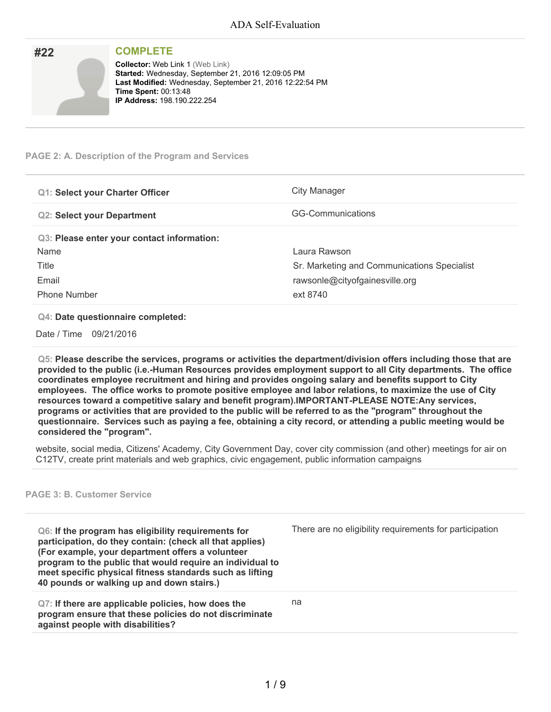| #22 | <b>COMPLETE</b>                                                                                                                                                                                                                |
|-----|--------------------------------------------------------------------------------------------------------------------------------------------------------------------------------------------------------------------------------|
|     | <b>Collector: Web Link 1 (Web Link)</b><br>Started: Wednesday, September 21, 2016 12:09:05 PM<br>Last Modified: Wednesday, September 21, 2016 12:22:54 PM<br><b>Time Spent: 00:13:48</b><br><b>IP Address: 198.190.222.254</b> |

## **PAGE 2: A. Description of the Program and Services**

| <b>Q1: Select your Charter Officer</b>     | City Manager                                |
|--------------------------------------------|---------------------------------------------|
| <b>Q2: Select your Department</b>          | GG-Communications                           |
| Q3: Please enter your contact information: |                                             |
| Name                                       | Laura Rawson                                |
| Title                                      | Sr. Marketing and Communications Specialist |
| Email                                      | rawsonle@cityofgainesville.org              |
| <b>Phone Number</b>                        | ext 8740                                    |

## **Q4: Date questionnaire completed:**

Date / Time 09/21/2016

**Q5: Please describe the services, programs or activities the department/division offers including those that are provided to the public (i.e.-Human Resources provides employment support to all City departments. The office coordinates employee recruitment and hiring and provides ongoing salary and benefits support to City employees. The office works to promote positive employee and labor relations, to maximize the use of City resources toward a competitive salary and benefit program).IMPORTANT-PLEASE NOTE:Any services,** programs or activities that are provided to the public will be referred to as the "program" throughout the questionnaire. Services such as paying a fee, obtaining a city record, or attending a public meeting would be **considered the "program".**

website, social media, Citizens' Academy, City Government Day, cover city commission (and other) meetings for air on C12TV, create print materials and web graphics, civic engagement, public information campaigns

## **PAGE 3: B. Customer Service**

| Q6: If the program has eligibility requirements for<br>participation, do they contain: (check all that applies)<br>(For example, your department offers a volunteer<br>program to the public that would require an individual to<br>meet specific physical fitness standards such as lifting<br>40 pounds or walking up and down stairs.) | There are no eligibility requirements for participation |
|-------------------------------------------------------------------------------------------------------------------------------------------------------------------------------------------------------------------------------------------------------------------------------------------------------------------------------------------|---------------------------------------------------------|
| Q7: If there are applicable policies, how does the<br>program ensure that these policies do not discriminate<br>against people with disabilities?                                                                                                                                                                                         | na                                                      |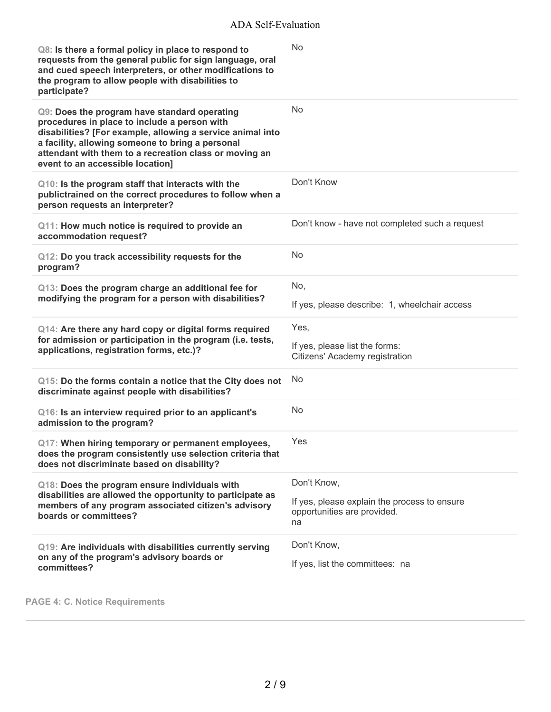| Q8: Is there a formal policy in place to respond to<br>requests from the general public for sign language, oral<br>and cued speech interpreters, or other modifications to<br>the program to allow people with disabilities to<br>participate?                                                               | No                                                                                               |
|--------------------------------------------------------------------------------------------------------------------------------------------------------------------------------------------------------------------------------------------------------------------------------------------------------------|--------------------------------------------------------------------------------------------------|
| Q9: Does the program have standard operating<br>procedures in place to include a person with<br>disabilities? [For example, allowing a service animal into<br>a facility, allowing someone to bring a personal<br>attendant with them to a recreation class or moving an<br>event to an accessible location] | <b>No</b>                                                                                        |
| Q10: Is the program staff that interacts with the<br>publictrained on the correct procedures to follow when a<br>person requests an interpreter?                                                                                                                                                             | Don't Know                                                                                       |
| Q11: How much notice is required to provide an<br>accommodation request?                                                                                                                                                                                                                                     | Don't know - have not completed such a request                                                   |
| Q12: Do you track accessibility requests for the<br>program?                                                                                                                                                                                                                                                 | <b>No</b>                                                                                        |
| Q13: Does the program charge an additional fee for<br>modifying the program for a person with disabilities?                                                                                                                                                                                                  | No,<br>If yes, please describe: 1, wheelchair access                                             |
| Q14: Are there any hard copy or digital forms required<br>for admission or participation in the program (i.e. tests,<br>applications, registration forms, etc.)?                                                                                                                                             | Yes,<br>If yes, please list the forms:<br>Citizens' Academy registration                         |
| Q15: Do the forms contain a notice that the City does not<br>discriminate against people with disabilities?                                                                                                                                                                                                  | <b>No</b>                                                                                        |
| Q16: Is an interview required prior to an applicant's<br>admission to the program?                                                                                                                                                                                                                           | <b>No</b>                                                                                        |
| Q17: When hiring temporary or permanent employees,<br>does the program consistently use selection criteria that<br>does not discriminate based on disability?                                                                                                                                                | Yes                                                                                              |
| Q18: Does the program ensure individuals with<br>disabilities are allowed the opportunity to participate as<br>members of any program associated citizen's advisory<br>boards or committees?                                                                                                                 | Don't Know,<br>If yes, please explain the process to ensure<br>opportunities are provided.<br>na |
| Q19: Are individuals with disabilities currently serving<br>on any of the program's advisory boards or<br>committees?                                                                                                                                                                                        | Don't Know,<br>If yes, list the committees: na                                                   |

**PAGE 4: C. Notice Requirements**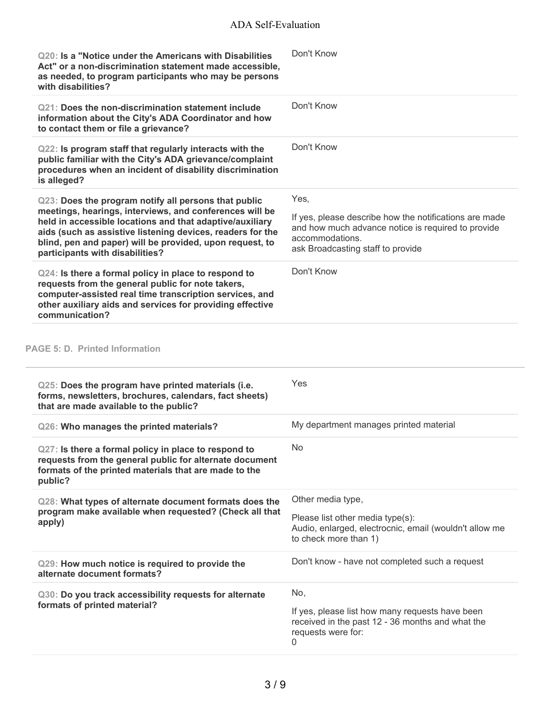| Q20: Is a "Notice under the Americans with Disabilities<br>Act" or a non-discrimination statement made accessible,<br>as needed, to program participants who may be persons<br>with disabilities?                                                                                                                                        | Don't Know                                                                                                                                                                   |
|------------------------------------------------------------------------------------------------------------------------------------------------------------------------------------------------------------------------------------------------------------------------------------------------------------------------------------------|------------------------------------------------------------------------------------------------------------------------------------------------------------------------------|
| <b>Q21: Does the non-discrimination statement include</b><br>information about the City's ADA Coordinator and how<br>to contact them or file a grievance?                                                                                                                                                                                | Don't Know                                                                                                                                                                   |
| Q22: Is program staff that regularly interacts with the<br>public familiar with the City's ADA grievance/complaint<br>procedures when an incident of disability discrimination<br>is alleged?                                                                                                                                            | Don't Know                                                                                                                                                                   |
| Q23: Does the program notify all persons that public<br>meetings, hearings, interviews, and conferences will be<br>held in accessible locations and that adaptive/auxiliary<br>aids (such as assistive listening devices, readers for the<br>blind, pen and paper) will be provided, upon request, to<br>participants with disabilities? | Yes,<br>If yes, please describe how the notifications are made<br>and how much advance notice is required to provide<br>accommodations.<br>ask Broadcasting staff to provide |
| Q24: Is there a formal policy in place to respond to<br>requests from the general public for note takers,<br>computer-assisted real time transcription services, and<br>other auxiliary aids and services for providing effective<br>communication?                                                                                      | Don't Know                                                                                                                                                                   |
| <b>PAGE 5: D. Printed Information</b>                                                                                                                                                                                                                                                                                                    |                                                                                                                                                                              |
| Q25: Does the program have printed materials (i.e.<br>forms, newsletters, brochures, calendars, fact sheets)<br>that are made available to the public?                                                                                                                                                                                   | Yes                                                                                                                                                                          |
| Q26: Who manages the printed materials?                                                                                                                                                                                                                                                                                                  | My department manages printed material                                                                                                                                       |
| Q27: Is there a formal policy in place to respond to<br>requests from the general public for alternate document<br>formats of the printed materials that are made to the<br>public?                                                                                                                                                      | No                                                                                                                                                                           |
| Q28: What types of alternate document formats does the                                                                                                                                                                                                                                                                                   | Other media type,                                                                                                                                                            |
| program make available when requested? (Check all that<br>apply)                                                                                                                                                                                                                                                                         | Please list other media type(s):<br>Audio, enlarged, electrocnic, email (wouldn't allow me<br>to check more than 1)                                                          |
| Q29: How much notice is required to provide the<br>alternate document formats?                                                                                                                                                                                                                                                           | Don't know - have not completed such a request                                                                                                                               |

**Q30: Do you track accessibility requests for alternate formats of printed material?**

 $\overline{\phantom{a}}$ 

No,

0

requests were for:

If yes, please list how many requests have been received in the past 12 - 36 months and what the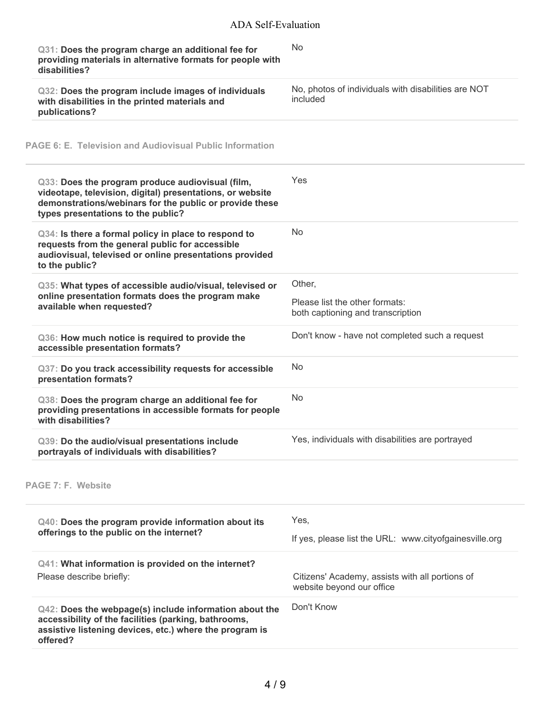| Q31: Does the program charge an additional fee for<br>providing materials in alternative formats for people with<br>disabilities?                                                                              | <b>No</b>                                                                     |
|----------------------------------------------------------------------------------------------------------------------------------------------------------------------------------------------------------------|-------------------------------------------------------------------------------|
| Q32: Does the program include images of individuals<br>with disabilities in the printed materials and<br>publications?                                                                                         | No, photos of individuals with disabilities are NOT<br>included               |
| <b>PAGE 6: E. Television and Audiovisual Public Information</b>                                                                                                                                                |                                                                               |
| Q33: Does the program produce audiovisual (film,<br>videotape, television, digital) presentations, or website<br>demonstrations/webinars for the public or provide these<br>types presentations to the public? | Yes                                                                           |
| Q34: Is there a formal policy in place to respond to<br>requests from the general public for accessible<br>audiovisual, televised or online presentations provided<br>to the public?                           | No                                                                            |
| Q35: What types of accessible audio/visual, televised or<br>online presentation formats does the program make<br>available when requested?                                                                     | Other,<br>Please list the other formats:<br>both captioning and transcription |
| Q36: How much notice is required to provide the<br>accessible presentation formats?                                                                                                                            | Don't know - have not completed such a request                                |
| Q37: Do you track accessibility requests for accessible<br>presentation formats?                                                                                                                               | No                                                                            |
| Q38: Does the program charge an additional fee for<br>providing presentations in accessible formats for people<br>with disabilities?                                                                           | No                                                                            |
| Q39: Do the audio/visual presentations include<br>portrayals of individuals with disabilities?                                                                                                                 | Yes, individuals with disabilities are portrayed                              |
| PAGE 7: F. Website                                                                                                                                                                                             |                                                                               |
| Q40: Does the program provide information about its                                                                                                                                                            | Yes,                                                                          |
| offerings to the public on the internet?                                                                                                                                                                       | If yes, please list the URL: www.cityofgainesville.org                        |
| Q41: What information is provided on the internet?<br>Please describe briefly:                                                                                                                                 | Citizens' Academy, assists with all portions of<br>website beyond our office  |
| Q42: Does the webpage(s) include information about the<br>accessibility of the facilities (parking, bathrooms,<br>assistive listening devices, etc.) where the program is<br>offered?                          | Don't Know                                                                    |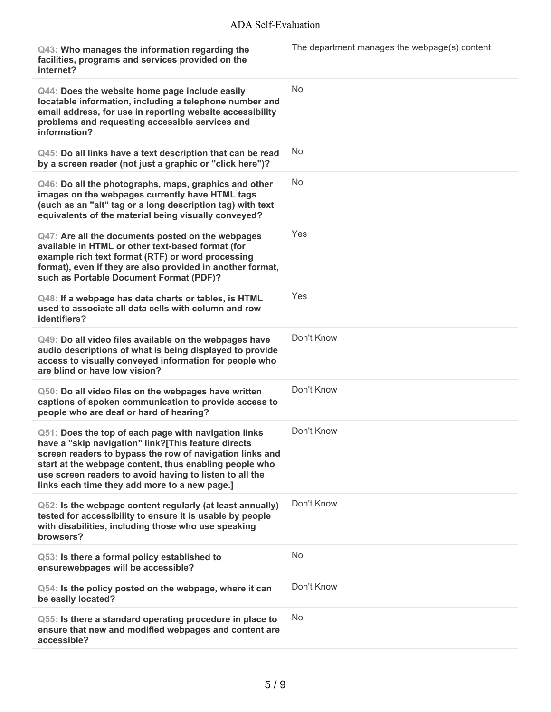| Q43: Who manages the information regarding the<br>facilities, programs and services provided on the<br>internet?                                                                                                                                                                                                                              | The department manages the webpage(s) content |
|-----------------------------------------------------------------------------------------------------------------------------------------------------------------------------------------------------------------------------------------------------------------------------------------------------------------------------------------------|-----------------------------------------------|
| Q44: Does the website home page include easily<br>locatable information, including a telephone number and<br>email address, for use in reporting website accessibility<br>problems and requesting accessible services and<br>information?                                                                                                     | <b>No</b>                                     |
| Q45: Do all links have a text description that can be read<br>by a screen reader (not just a graphic or "click here")?                                                                                                                                                                                                                        | <b>No</b>                                     |
| Q46: Do all the photographs, maps, graphics and other<br>images on the webpages currently have HTML tags<br>(such as an "alt" tag or a long description tag) with text<br>equivalents of the material being visually conveyed?                                                                                                                | No                                            |
| Q47: Are all the documents posted on the webpages<br>available in HTML or other text-based format (for<br>example rich text format (RTF) or word processing<br>format), even if they are also provided in another format,<br>such as Portable Document Format (PDF)?                                                                          | Yes                                           |
| Q48: If a webpage has data charts or tables, is HTML<br>used to associate all data cells with column and row<br>identifiers?                                                                                                                                                                                                                  | Yes                                           |
| Q49: Do all video files available on the webpages have<br>audio descriptions of what is being displayed to provide<br>access to visually conveyed information for people who<br>are blind or have low vision?                                                                                                                                 | Don't Know                                    |
| Q50: Do all video files on the webpages have written<br>captions of spoken communication to provide access to<br>people who are deaf or hard of hearing?                                                                                                                                                                                      | Don't Know                                    |
| Q51: Does the top of each page with navigation links<br>have a "skip navigation" link?[This feature directs<br>screen readers to bypass the row of navigation links and<br>start at the webpage content, thus enabling people who<br>use screen readers to avoid having to listen to all the<br>links each time they add more to a new page.] | Don't Know                                    |
| Q52: Is the webpage content regularly (at least annually)<br>tested for accessibility to ensure it is usable by people<br>with disabilities, including those who use speaking<br>browsers?                                                                                                                                                    | Don't Know                                    |
| Q53: Is there a formal policy established to<br>ensurewebpages will be accessible?                                                                                                                                                                                                                                                            | No                                            |
| Q54: Is the policy posted on the webpage, where it can<br>be easily located?                                                                                                                                                                                                                                                                  | Don't Know                                    |
| Q55: Is there a standard operating procedure in place to<br>ensure that new and modified webpages and content are<br>accessible?                                                                                                                                                                                                              | No                                            |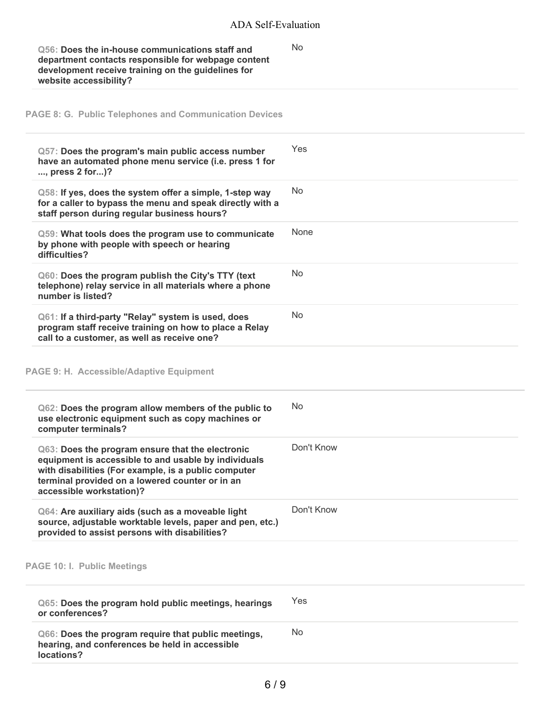No

**Q56: Does the in-house communications staff and department contacts responsible for webpage content development receive training on the guidelines for website accessibility?**

**PAGE 8: G. Public Telephones and Communication Devices**

| Q57: Does the program's main public access number<br>have an automated phone menu service (i.e. press 1 for<br>, press 2 for)?                                                                                                                  | Yes        |
|-------------------------------------------------------------------------------------------------------------------------------------------------------------------------------------------------------------------------------------------------|------------|
| Q58: If yes, does the system offer a simple, 1-step way<br>for a caller to bypass the menu and speak directly with a<br>staff person during regular business hours?                                                                             | No         |
| Q59: What tools does the program use to communicate<br>by phone with people with speech or hearing<br>difficulties?                                                                                                                             | None       |
| Q60: Does the program publish the City's TTY (text<br>telephone) relay service in all materials where a phone<br>number is listed?                                                                                                              | <b>No</b>  |
| Q61: If a third-party "Relay" system is used, does<br>program staff receive training on how to place a Relay<br>call to a customer, as well as receive one?                                                                                     | No         |
| <b>PAGE 9: H. Accessible/Adaptive Equipment</b>                                                                                                                                                                                                 |            |
| Q62: Does the program allow members of the public to<br>use electronic equipment such as copy machines or<br>computer terminals?                                                                                                                | No         |
| Q63: Does the program ensure that the electronic<br>equipment is accessible to and usable by individuals<br>with disabilities (For example, is a public computer<br>terminal provided on a lowered counter or in an<br>accessible workstation)? | Don't Know |
| Q64: Are auxiliary aids (such as a moveable light<br>source, adjustable worktable levels, paper and pen, etc.)<br>provided to assist persons with disabilities?                                                                                 | Don't Know |
| PAGE 10: I. Public Meetings                                                                                                                                                                                                                     |            |
| Q65: Does the program hold public meetings, hearings<br>or conferences?                                                                                                                                                                         | Yes        |
| Q66: Does the program require that public meetings,<br>hearing, and conferences be held in accessible<br>locations?                                                                                                                             | No         |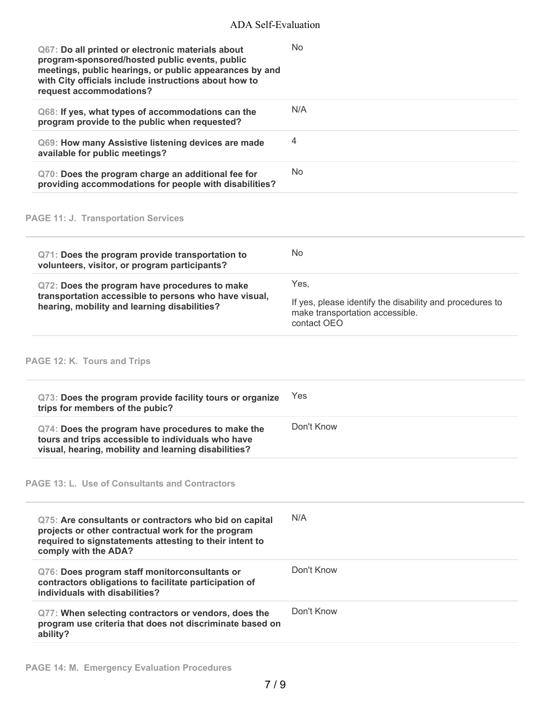| Q67: Do all printed or electronic materials about<br>program-sponsored/hosted public events, public<br>meetings, public hearings, or public appearances by and<br>with City officials include instructions about how to<br>request accommodations? | No                                                                                                                 |
|----------------------------------------------------------------------------------------------------------------------------------------------------------------------------------------------------------------------------------------------------|--------------------------------------------------------------------------------------------------------------------|
| Q68: If yes, what types of accommodations can the<br>program provide to the public when requested?                                                                                                                                                 | N/A                                                                                                                |
| Q69: How many Assistive listening devices are made<br>available for public meetings?                                                                                                                                                               | 4                                                                                                                  |
| Q70: Does the program charge an additional fee for<br>providing accommodations for people with disabilities?                                                                                                                                       | <b>No</b>                                                                                                          |
| <b>PAGE 11: J. Transportation Services</b>                                                                                                                                                                                                         |                                                                                                                    |
| Q71: Does the program provide transportation to<br>volunteers, visitor, or program participants?                                                                                                                                                   | No                                                                                                                 |
| Q72: Does the program have procedures to make<br>transportation accessible to persons who have visual,<br>hearing, mobility and learning disabilities?                                                                                             | Yes,<br>If yes, please identify the disability and procedures to<br>make transportation accessible.<br>contact OEO |
| PAGE 12: K. Tours and Trips                                                                                                                                                                                                                        |                                                                                                                    |
| Q73: Does the program provide facility tours or organize<br>trips for members of the pubic?                                                                                                                                                        | Yes                                                                                                                |
| Q74: Does the program have procedures to make the<br>tours and trips accessible to individuals who have<br>visual, hearing, mobility and learning disabilities?                                                                                    | Don't Know                                                                                                         |
| <b>PAGE 13: L. Use of Consultants and Contractors</b>                                                                                                                                                                                              |                                                                                                                    |
| Q75: Are consultants or contractors who bid on capital<br>projects or other contractual work for the program<br>required to signstatements attesting to their intent to<br>comply with the ADA?                                                    | N/A                                                                                                                |
| Q76: Does program staff monitorconsultants or<br>contractors obligations to facilitate participation of<br>individuals with disabilities?                                                                                                          | Don't Know                                                                                                         |
| Q77: When selecting contractors or vendors, does the<br>program use criteria that does not discriminate based on<br>ability?                                                                                                                       | Don't Know                                                                                                         |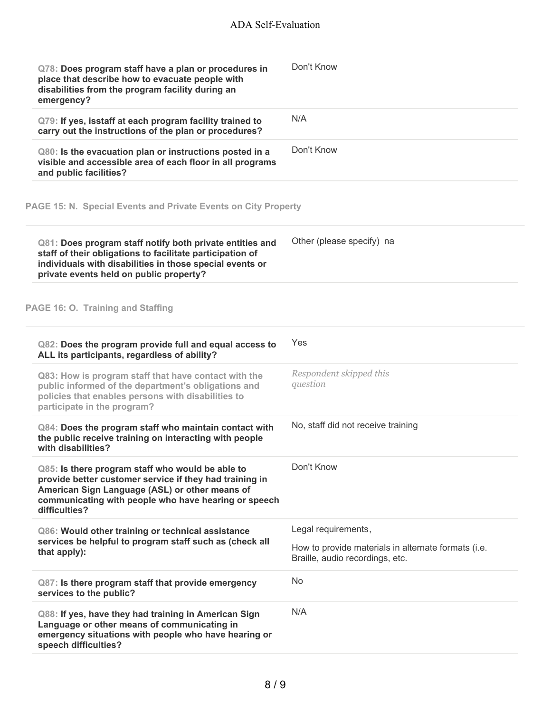| Q78: Does program staff have a plan or procedures in<br>place that describe how to evacuate people with<br>disabilities from the program facility during an<br>emergency?                                                              | Don't Know                                                                                                    |
|----------------------------------------------------------------------------------------------------------------------------------------------------------------------------------------------------------------------------------------|---------------------------------------------------------------------------------------------------------------|
| Q79: If yes, isstaff at each program facility trained to<br>carry out the instructions of the plan or procedures?                                                                                                                      | N/A                                                                                                           |
| Q80: Is the evacuation plan or instructions posted in a<br>visible and accessible area of each floor in all programs<br>and public facilities?                                                                                         | Don't Know                                                                                                    |
| PAGE 15: N. Special Events and Private Events on City Property                                                                                                                                                                         |                                                                                                               |
| Q81: Does program staff notify both private entities and<br>staff of their obligations to facilitate participation of<br>individuals with disabilities in those special events or<br>private events held on public property?           | Other (please specify) na                                                                                     |
| PAGE 16: O. Training and Staffing                                                                                                                                                                                                      |                                                                                                               |
| Q82: Does the program provide full and equal access to<br>ALL its participants, regardless of ability?                                                                                                                                 | Yes                                                                                                           |
| Q83: How is program staff that have contact with the<br>public informed of the department's obligations and<br>policies that enables persons with disabilities to<br>participate in the program?                                       | Respondent skipped this<br>question                                                                           |
| Q84: Does the program staff who maintain contact with<br>the public receive training on interacting with people<br>with disabilities?                                                                                                  | No, staff did not receive training                                                                            |
| Q85: Is there program staff who would be able to<br>provide better customer service if they had training in<br>American Sign Language (ASL) or other means of<br>communicating with people who have hearing or speech<br>difficulties? | Don't Know                                                                                                    |
| Q86: Would other training or technical assistance<br>services be helpful to program staff such as (check all<br>that apply):                                                                                                           | Legal requirements,<br>How to provide materials in alternate formats (i.e.<br>Braille, audio recordings, etc. |
| Q87: Is there program staff that provide emergency<br>services to the public?                                                                                                                                                          | <b>No</b>                                                                                                     |
| Q88: If yes, have they had training in American Sign<br>Language or other means of communicating in<br>emergency situations with people who have hearing or<br>speech difficulties?                                                    | N/A                                                                                                           |